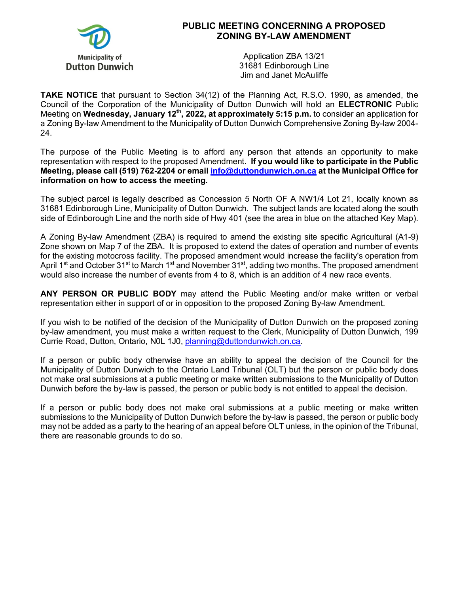

## **PUBLIC MEETING CONCERNING A PROPOSED ZONING BY-LAW AMENDMENT**

Application ZBA 13/21 31681 Edinborough Line Jim and Janet McAuliffe

**TAKE NOTICE** that pursuant to Section 34(12) of the Planning Act, R.S.O. 1990, as amended, the Council of the Corporation of the Municipality of Dutton Dunwich will hold an **ELECTRONIC** Public Meeting on **Wednesday, January 12th, 2022, at approximately 5:15 p.m.** to consider an application for a Zoning By-law Amendment to the Municipality of Dutton Dunwich Comprehensive Zoning By-law 2004- 24.

The purpose of the Public Meeting is to afford any person that attends an opportunity to make representation with respect to the proposed Amendment. **If you would like to participate in the Public Meeting, please call (519) 762-2204 or emai[l info@duttondunwich.on.ca](mailto:info@duttondunwich.on.ca) at the Municipal Office for information on how to access the meeting.**

The subject parcel is legally described as Concession 5 North OF A NW1/4 Lot 21, locally known as 31681 Edinborough Line, Municipality of Dutton Dunwich. The subject lands are located along the south side of Edinborough Line and the north side of Hwy 401 (see the area in blue on the attached Key Map).

A Zoning By-law Amendment (ZBA) is required to amend the existing site specific Agricultural (A1-9) Zone shown on Map 7 of the ZBA. It is proposed to extend the dates of operation and number of events for the existing motocross facility. The proposed amendment would increase the facility's operation from April 1<sup>st</sup> and October 31<sup>st</sup> to March 1<sup>st</sup> and November 31<sup>st</sup>, adding two months. The proposed amendment would also increase the number of events from 4 to 8, which is an addition of 4 new race events.

**ANY PERSON OR PUBLIC BODY** may attend the Public Meeting and/or make written or verbal representation either in support of or in opposition to the proposed Zoning By-law Amendment.

If you wish to be notified of the decision of the Municipality of Dutton Dunwich on the proposed zoning by-law amendment, you must make a written request to the Clerk, Municipality of Dutton Dunwich, 199 Currie Road, Dutton, Ontario, N0L 1J0, [planning@duttondunwich.on.ca.](mailto:planning@duttondunwich.on.ca)

If a person or public body otherwise have an ability to appeal the decision of the Council for the Municipality of Dutton Dunwich to the Ontario Land Tribunal (OLT) but the person or public body does not make oral submissions at a public meeting or make written submissions to the Municipality of Dutton Dunwich before the by-law is passed, the person or public body is not entitled to appeal the decision.

If a person or public body does not make oral submissions at a public meeting or make written submissions to the Municipality of Dutton Dunwich before the by-law is passed, the person or public body may not be added as a party to the hearing of an appeal before OLT unless, in the opinion of the Tribunal, there are reasonable grounds to do so.